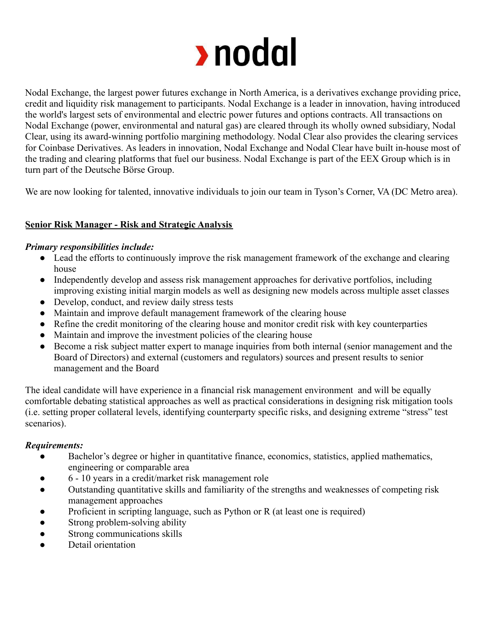

Nodal Exchange, the largest power futures exchange in North America, is a derivatives exchange providing price, credit and liquidity risk management to participants. Nodal Exchange is a leader in innovation, having introduced the world's largest sets of environmental and electric power futures and options contracts. All transactions on Nodal Exchange (power, environmental and natural gas) are cleared through its wholly owned subsidiary, Nodal Clear, using its award-winning portfolio margining methodology. Nodal Clear also provides the clearing services for Coinbase Derivatives. As leaders in innovation, Nodal Exchange and Nodal Clear have built in-house most of the trading and clearing platforms that fuel our business. Nodal Exchange is part of the EEX Group which is in turn part of the Deutsche Börse Group.

We are now looking for talented, innovative individuals to join our team in Tyson's Corner, VA (DC Metro area).

# **Senior Risk Manager - Risk and Strategic Analysis**

#### *Primary responsibilities include:*

- Lead the efforts to continuously improve the risk management framework of the exchange and clearing house
- Independently develop and assess risk management approaches for derivative portfolios, including improving existing initial margin models as well as designing new models across multiple asset classes
- Develop, conduct, and review daily stress tests
- Maintain and improve default management framework of the clearing house
- Refine the credit monitoring of the clearing house and monitor credit risk with key counterparties
- Maintain and improve the investment policies of the clearing house
- Become a risk subject matter expert to manage inquiries from both internal (senior management and the Board of Directors) and external (customers and regulators) sources and present results to senior management and the Board

The ideal candidate will have experience in a financial risk management environment and will be equally comfortable debating statistical approaches as well as practical considerations in designing risk mitigation tools (i.e. setting proper collateral levels, identifying counterparty specific risks, and designing extreme "stress" test scenarios).

### *Requirements:*

- Bachelor's degree or higher in quantitative finance, economics, statistics, applied mathematics, engineering or comparable area
- 6 10 years in a credit/market risk management role
- Outstanding quantitative skills and familiarity of the strengths and weaknesses of competing risk management approaches
- Proficient in scripting language, such as Python or  $R$  (at least one is required)
- Strong problem-solving ability
- Strong communications skills
- Detail orientation